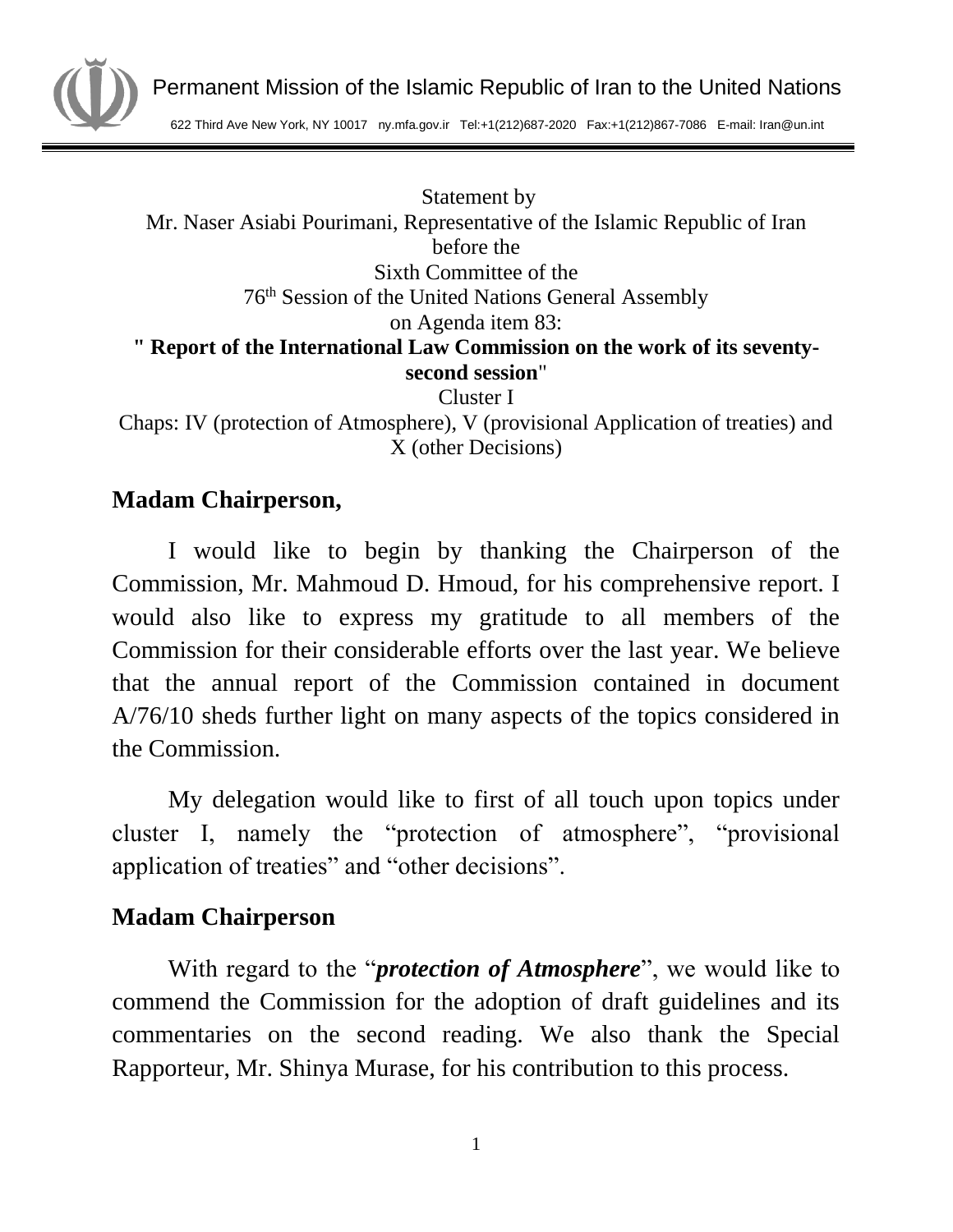

622 Third Ave New York, NY 10017 ny.mfa.gov.ir Tel:+1(212)687-2020 Fax:+1(212)867-7086 E-mail: Iran@un.int

Statement by Mr. Naser Asiabi Pourimani, Representative of the Islamic Republic of Iran before the Sixth Committee of the 76th Session of the United Nations General Assembly on Agenda item 83: **" Report of the International Law Commission on the work of its seventysecond session**" Cluster I Chaps: IV (protection of Atmosphere), V (provisional Application of treaties) and

X (other Decisions)

### **Madam Chairperson,**

I would like to begin by thanking the Chairperson of the Commission, Mr. Mahmoud D. Hmoud, for his comprehensive report. I would also like to express my gratitude to all members of the Commission for their considerable efforts over the last year. We believe that the annual report of the Commission contained in document A/76/10 sheds further light on many aspects of the topics considered in the Commission.

My delegation would like to first of all touch upon topics under cluster I, namely the "protection of atmosphere", "provisional application of treaties" and "other decisions".

## **Madam Chairperson**

With regard to the "*protection of Atmosphere*", we would like to commend the Commission for the adoption of draft guidelines and its commentaries on the second reading. We also thank the Special Rapporteur, Mr. Shinya Murase, for his contribution to this process.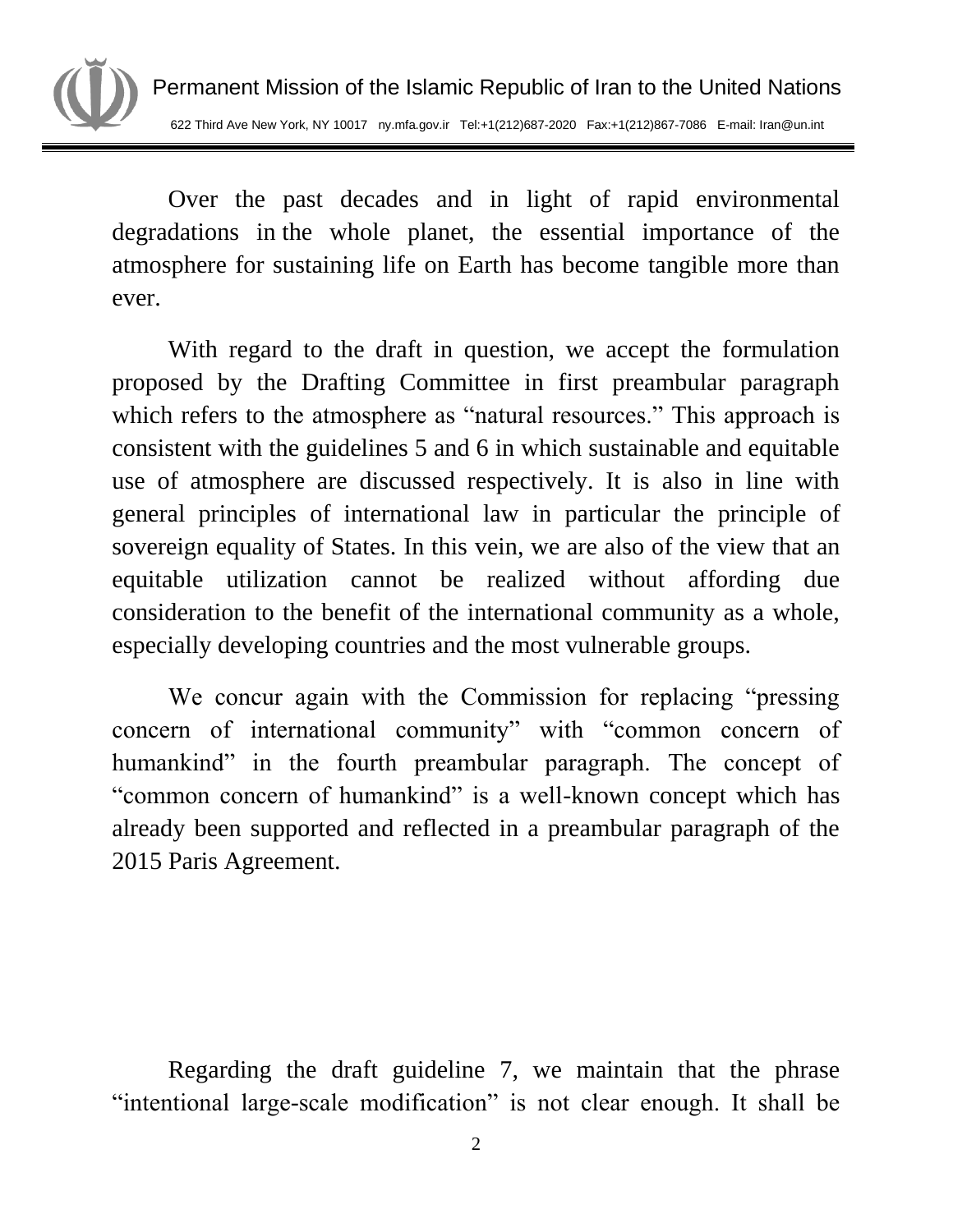

Over the past decades and in light of rapid environmental degradations in the whole planet, the essential importance of the atmosphere for sustaining life on Earth has become tangible more than ever.

With regard to the draft in question, we accept the formulation proposed by the Drafting Committee in first preambular paragraph which refers to the atmosphere as "natural resources." This approach is consistent with the guidelines 5 and 6 in which sustainable and equitable use of atmosphere are discussed respectively. It is also in line with general principles of international law in particular the principle of sovereign equality of States. In this vein, we are also of the view that an equitable utilization cannot be realized without affording due consideration to the benefit of the international community as a whole, especially developing countries and the most vulnerable groups.

We concur again with the Commission for replacing "pressing concern of international community" with "common concern of humankind" in the fourth preambular paragraph. The concept of "common concern of humankind" is a well-known concept which has already been supported and reflected in a preambular paragraph of the 2015 Paris Agreement.

Regarding the draft guideline 7, we maintain that the phrase "intentional large-scale modification" is not clear enough. It shall be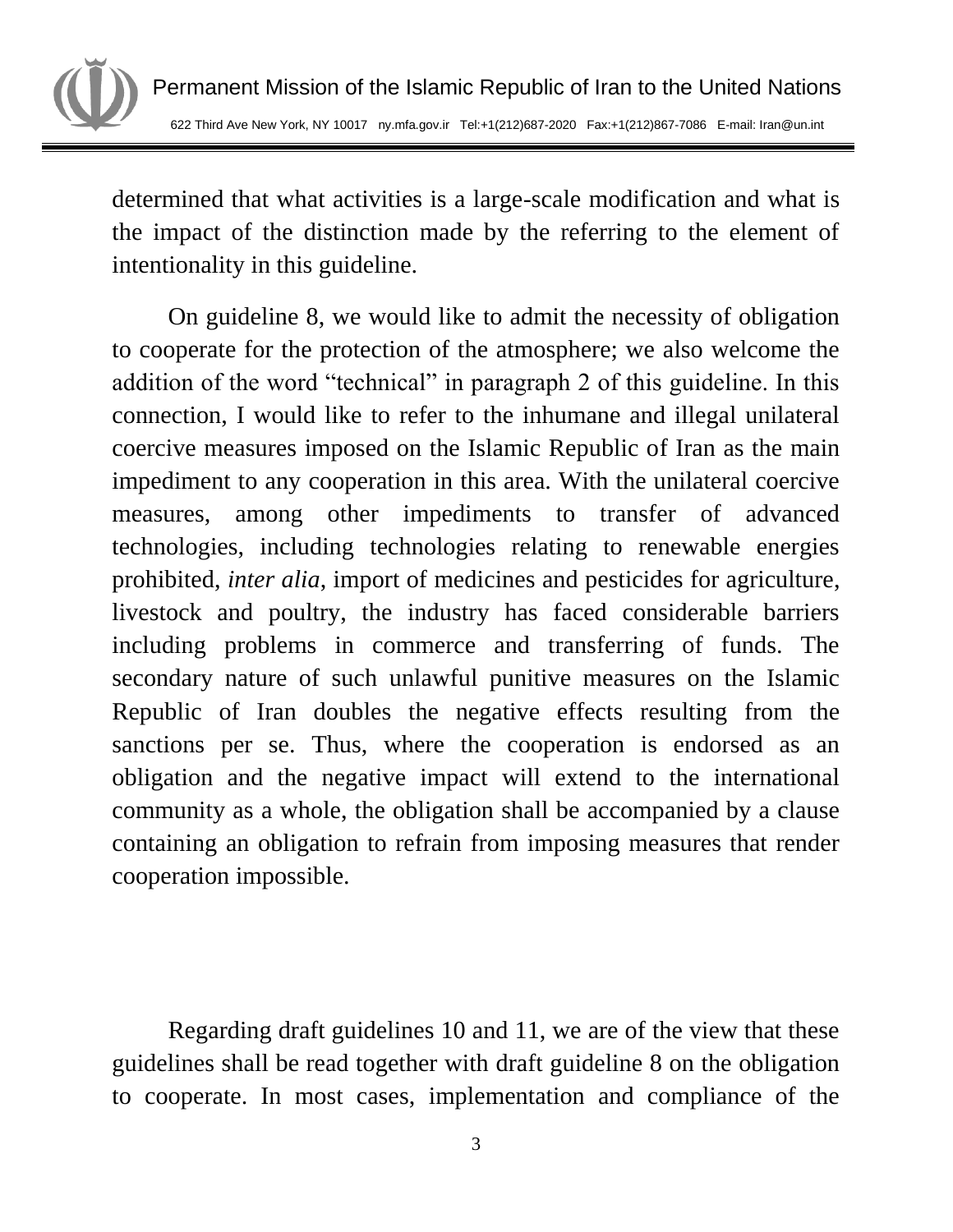

determined that what activities is a large-scale modification and what is the impact of the distinction made by the referring to the element of intentionality in this guideline.

On guideline 8, we would like to admit the necessity of obligation to cooperate for the protection of the atmosphere; we also welcome the addition of the word "technical" in paragraph 2 of this guideline. In this connection, I would like to refer to the inhumane and illegal unilateral coercive measures imposed on the Islamic Republic of Iran as the main impediment to any cooperation in this area. With the unilateral coercive measures, among other impediments to transfer of advanced technologies, including technologies relating to renewable energies prohibited, *inter alia*, import of medicines and pesticides for agriculture, livestock and poultry, the industry has faced considerable barriers including problems in commerce and transferring of funds. The secondary nature of such unlawful punitive measures on the Islamic Republic of Iran doubles the negative effects resulting from the sanctions per se. Thus, where the cooperation is endorsed as an obligation and the negative impact will extend to the international community as a whole, the obligation shall be accompanied by a clause containing an obligation to refrain from imposing measures that render cooperation impossible.

Regarding draft guidelines 10 and 11, we are of the view that these guidelines shall be read together with draft guideline 8 on the obligation to cooperate. In most cases, implementation and compliance of the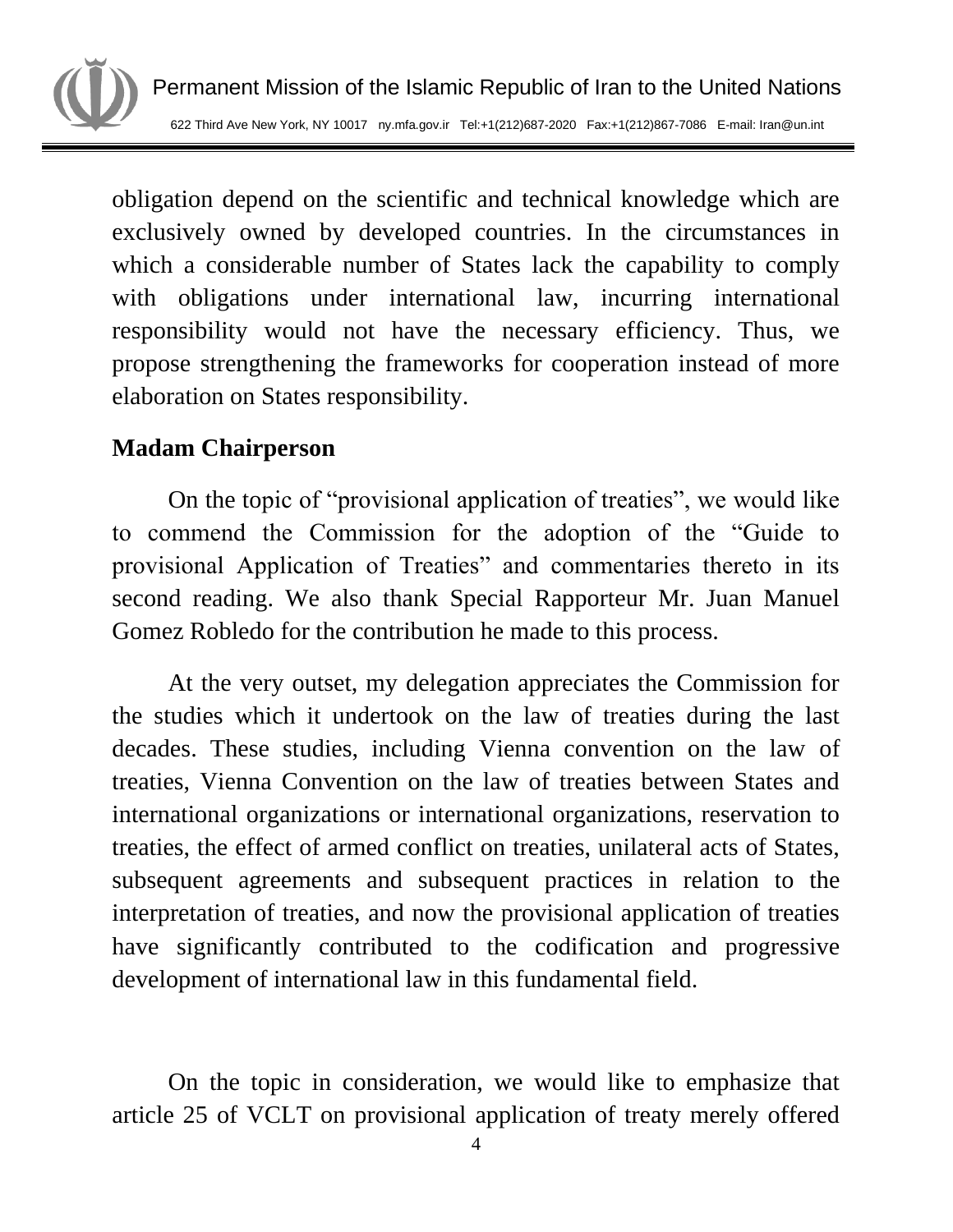

obligation depend on the scientific and technical knowledge which are exclusively owned by developed countries. In the circumstances in which a considerable number of States lack the capability to comply with obligations under international law, incurring international responsibility would not have the necessary efficiency. Thus, we propose strengthening the frameworks for cooperation instead of more elaboration on States responsibility.

# **Madam Chairperson**

On the topic of "provisional application of treaties", we would like to commend the Commission for the adoption of the "Guide to provisional Application of Treaties" and commentaries thereto in its second reading. We also thank Special Rapporteur Mr. Juan Manuel Gomez Robledo for the contribution he made to this process.

At the very outset, my delegation appreciates the Commission for the studies which it undertook on the law of treaties during the last decades. These studies, including Vienna convention on the law of treaties, Vienna Convention on the law of treaties between States and international organizations or international organizations, reservation to treaties, the effect of armed conflict on treaties, unilateral acts of States, subsequent agreements and subsequent practices in relation to the interpretation of treaties, and now the provisional application of treaties have significantly contributed to the codification and progressive development of international law in this fundamental field.

On the topic in consideration, we would like to emphasize that article 25 of VCLT on provisional application of treaty merely offered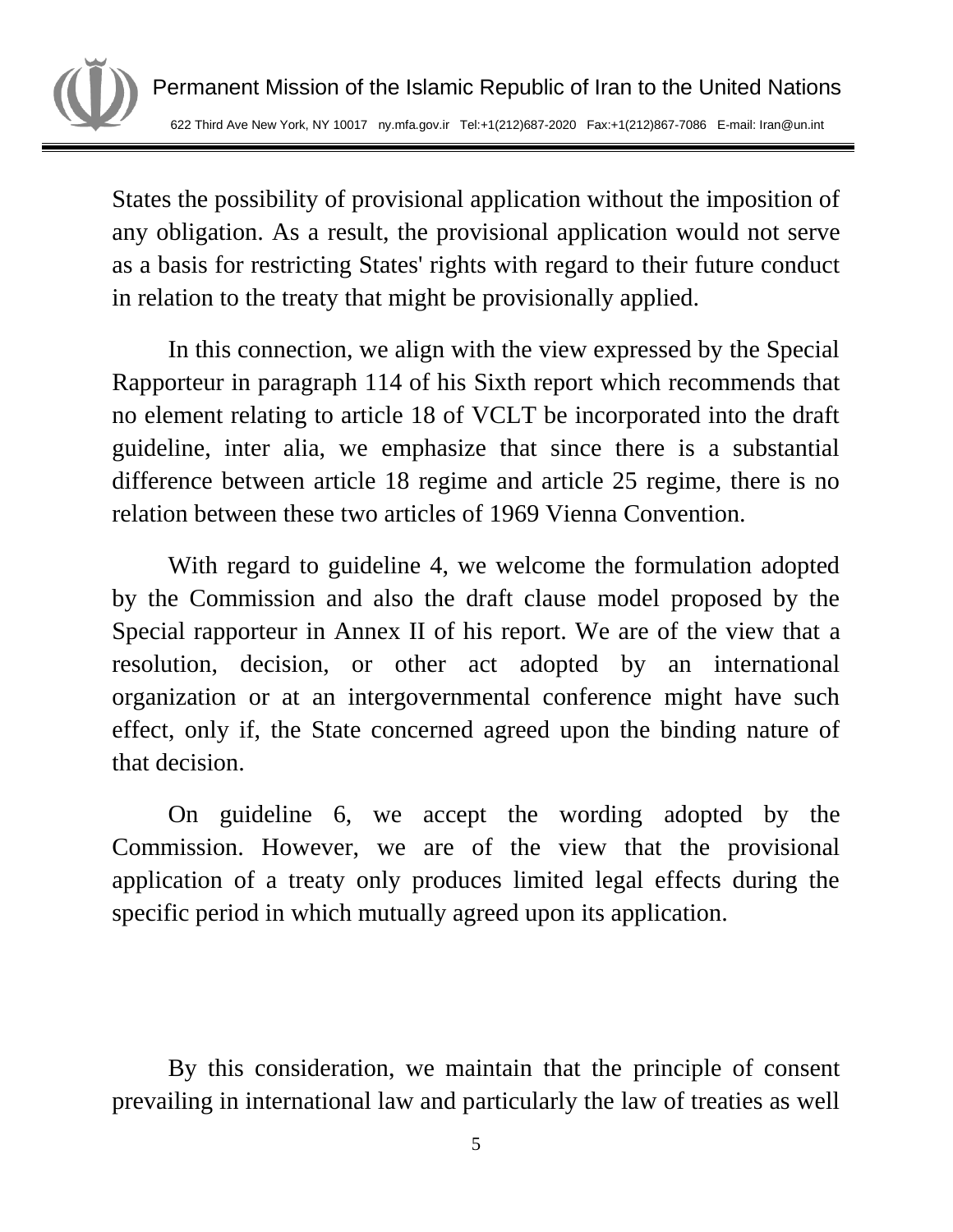

States the possibility of provisional application without the imposition of any obligation. As a result, the provisional application would not serve as a basis for restricting States' rights with regard to their future conduct in relation to the treaty that might be provisionally applied.

In this connection, we align with the view expressed by the Special Rapporteur in paragraph 114 of his Sixth report which recommends that no element relating to article 18 of VCLT be incorporated into the draft guideline, inter alia, we emphasize that since there is a substantial difference between article 18 regime and article 25 regime, there is no relation between these two articles of 1969 Vienna Convention.

With regard to guideline 4, we welcome the formulation adopted by the Commission and also the draft clause model proposed by the Special rapporteur in Annex II of his report. We are of the view that a resolution, decision, or other act adopted by an international organization or at an intergovernmental conference might have such effect, only if, the State concerned agreed upon the binding nature of that decision.

On guideline 6, we accept the wording adopted by the Commission. However, we are of the view that the provisional application of a treaty only produces limited legal effects during the specific period in which mutually agreed upon its application.

By this consideration, we maintain that the principle of consent prevailing in international law and particularly the law of treaties as well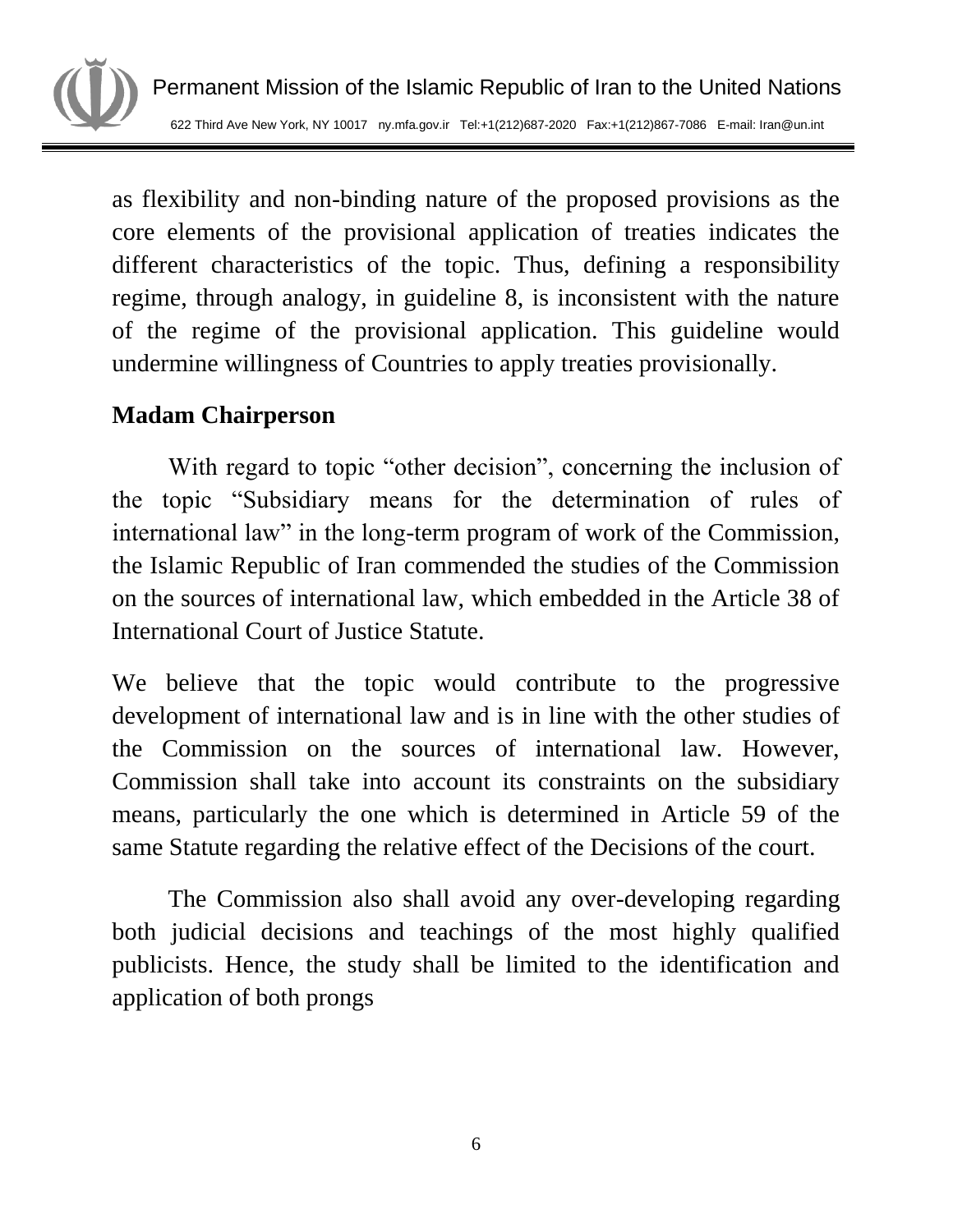

as flexibility and non-binding nature of the proposed provisions as the core elements of the provisional application of treaties indicates the different characteristics of the topic. Thus, defining a responsibility regime, through analogy, in guideline 8, is inconsistent with the nature of the regime of the provisional application. This guideline would undermine willingness of Countries to apply treaties provisionally.

# **Madam Chairperson**

With regard to topic "other decision", concerning the inclusion of the topic "Subsidiary means for the determination of rules of international law" in the long-term program of work of the Commission, the Islamic Republic of Iran commended the studies of the Commission on the sources of international law, which embedded in the Article 38 of International Court of Justice Statute.

We believe that the topic would contribute to the progressive development of international law and is in line with the other studies of the Commission on the sources of international law. However, Commission shall take into account its constraints on the subsidiary means, particularly the one which is determined in Article 59 of the same Statute regarding the relative effect of the Decisions of the court.

The Commission also shall avoid any over-developing regarding both judicial decisions and teachings of the most highly qualified publicists. Hence, the study shall be limited to the identification and application of both prongs